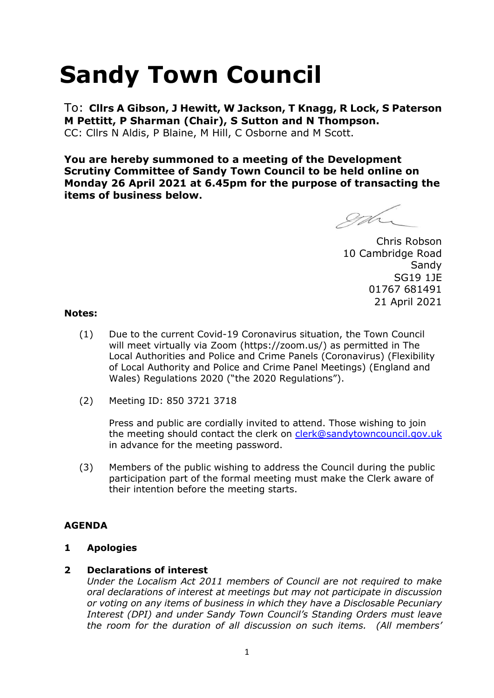# **Sandy Town Council**

To: **Cllrs A Gibson, J Hewitt, W Jackson, T Knagg, R Lock, S Paterson M Pettitt, P Sharman (Chair), S Sutton and N Thompson.**  CC: Cllrs N Aldis, P Blaine, M Hill, C Osborne and M Scott.

**You are hereby summoned to a meeting of the Development Scrutiny Committee of Sandy Town Council to be held online on Monday 26 April 2021 at 6.45pm for the purpose of transacting the items of business below.**

gd

Chris Robson 10 Cambridge Road Sandy SG19 1JE 01767 681491 21 April 2021

#### **Notes:**

- (1) Due to the current Covid-19 Coronavirus situation, the Town Council will meet virtually via Zoom (https://zoom.us/) as permitted in The Local Authorities and Police and Crime Panels (Coronavirus) (Flexibility of Local Authority and Police and Crime Panel Meetings) (England and Wales) Regulations 2020 ("the 2020 Regulations").
- (2) Meeting ID: 850 3721 3718

Press and public are cordially invited to attend. Those wishing to join the meeting should contact the clerk on [clerk@sandytowncouncil.gov.uk](mailto:clerk@sandytowncouncil.gov.uk) in advance for the meeting password.

(3) Members of the public wishing to address the Council during the public participation part of the formal meeting must make the Clerk aware of their intention before the meeting starts.

## **AGENDA**

#### **1 Apologies**

#### **2 Declarations of interest**

*Under the Localism Act 2011 members of Council are not required to make oral declarations of interest at meetings but may not participate in discussion or voting on any items of business in which they have a Disclosable Pecuniary Interest (DPI) and under Sandy Town Council's Standing Orders must leave the room for the duration of all discussion on such items. (All members'*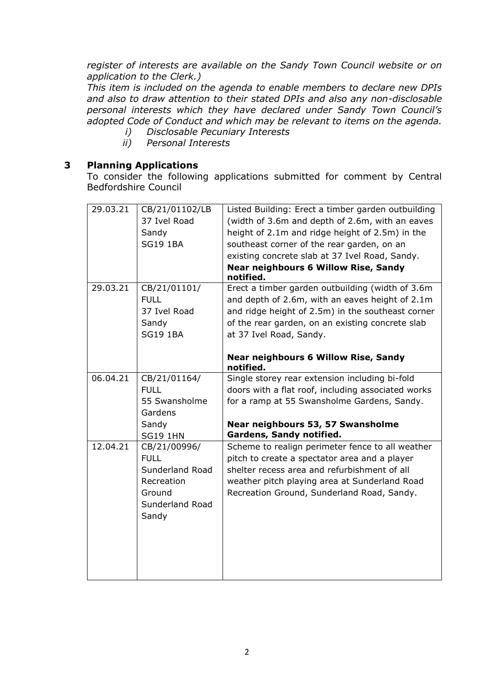*register of interests are available on the Sandy Town Council website or on application to the Clerk.)* 

*This item is included on the agenda to enable members to declare new DPIs and also to draw attention to their stated DPIs and also any non-disclosable personal interests which they have declared under Sandy Town Council's adopted Code of Conduct and which may be relevant to items on the agenda.* 

- *i) Disclosable Pecuniary Interests*
- *ii) Personal Interests*

### **3 Planning Applications**

To consider the following applications submitted for comment by Central Bedfordshire Council

| 29.03.21 | CB/21/01102/LB  | Listed Building: Erect a timber garden outbuilding       |
|----------|-----------------|----------------------------------------------------------|
|          | 37 Ivel Road    | (width of 3.6m and depth of 2.6m, with an eaves          |
|          | Sandy           | height of 2.1m and ridge height of 2.5m) in the          |
|          | <b>SG19 1BA</b> | southeast corner of the rear garden, on an               |
|          |                 | existing concrete slab at 37 Ivel Road, Sandy.           |
|          |                 | <b>Near neighbours 6 Willow Rise, Sandy</b><br>notified. |
| 29.03.21 | CB/21/01101/    | Erect a timber garden outbuilding (width of 3.6m         |
|          | <b>FULL</b>     | and depth of 2.6m, with an eaves height of 2.1m          |
|          | 37 Ivel Road    | and ridge height of 2.5m) in the southeast corner        |
|          | Sandy           | of the rear garden, on an existing concrete slab         |
|          | <b>SG19 1BA</b> | at 37 Ivel Road, Sandy.                                  |
|          |                 |                                                          |
|          |                 | <b>Near neighbours 6 Willow Rise, Sandy</b><br>notified. |
| 06.04.21 | CB/21/01164/    | Single storey rear extension including bi-fold           |
|          | <b>FULL</b>     | doors with a flat roof, including associated works       |
|          | 55 Swansholme   | for a ramp at 55 Swansholme Gardens, Sandy.              |
|          | Gardens         |                                                          |
|          | Sandy           | Near neighbours 53, 57 Swansholme                        |
|          | <b>SG19 1HN</b> | Gardens, Sandy notified.                                 |
| 12.04.21 | CB/21/00996/    | Scheme to realign perimeter fence to all weather         |
|          | <b>FULL</b>     | pitch to create a spectator area and a player            |
|          | Sunderland Road | shelter recess area and refurbishment of all             |
|          | Recreation      | weather pitch playing area at Sunderland Road            |
|          | Ground          | Recreation Ground, Sunderland Road, Sandy.               |
|          | Sunderland Road |                                                          |
|          | Sandy           |                                                          |
|          |                 |                                                          |
|          |                 |                                                          |
|          |                 |                                                          |
|          |                 |                                                          |
|          |                 |                                                          |